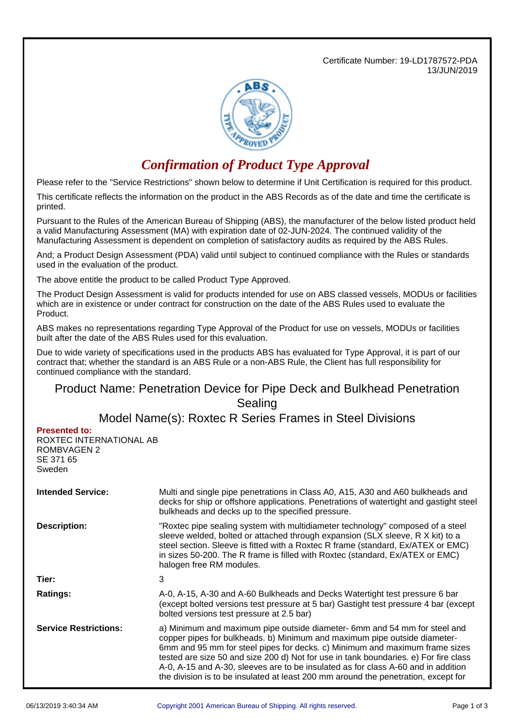Certificate Number: 19-LD1787572-PDA 13/JUN/2019



## *Confirmation of Product Type Approval*

Please refer to the "Service Restrictions" shown below to determine if Unit Certification is required for this product.

This certificate reflects the information on the product in the ABS Records as of the date and time the certificate is printed.

Pursuant to the Rules of the American Bureau of Shipping (ABS), the manufacturer of the below listed product held a valid Manufacturing Assessment (MA) with expiration date of 02-JUN-2024. The continued validity of the Manufacturing Assessment is dependent on completion of satisfactory audits as required by the ABS Rules.

And; a Product Design Assessment (PDA) valid until subject to continued compliance with the Rules or standards used in the evaluation of the product.

The above entitle the product to be called Product Type Approved.

The Product Design Assessment is valid for products intended for use on ABS classed vessels, MODUs or facilities which are in existence or under contract for construction on the date of the ABS Rules used to evaluate the Product.

ABS makes no representations regarding Type Approval of the Product for use on vessels, MODUs or facilities built after the date of the ABS Rules used for this evaluation.

Due to wide variety of specifications used in the products ABS has evaluated for Type Approval, it is part of our contract that; whether the standard is an ABS Rule or a non-ABS Rule, the Client has full responsibility for continued compliance with the standard.

## Product Name: Penetration Device for Pipe Deck and Bulkhead Penetration Sealing

Model Name(s): Roxtec R Series Frames in Steel Divisions

**Presented to:**

ROXTEC INTERNATIONAL AB ROMBVAGEN 2 SE 371 65 Sweden

| <b>Intended Service:</b>     | Multi and single pipe penetrations in Class A0, A15, A30 and A60 bulkheads and<br>decks for ship or offshore applications. Penetrations of watertight and gastight steel<br>bulkheads and decks up to the specified pressure.                                                                                                                                                                                                                                                                            |  |
|------------------------------|----------------------------------------------------------------------------------------------------------------------------------------------------------------------------------------------------------------------------------------------------------------------------------------------------------------------------------------------------------------------------------------------------------------------------------------------------------------------------------------------------------|--|
| <b>Description:</b>          | "Roxtec pipe sealing system with multidiameter technology" composed of a steel<br>sleeve welded, bolted or attached through expansion (SLX sleeve, R X kit) to a<br>steel section. Sleeve is fitted with a Roxtec R frame (standard, Ex/ATEX or EMC)<br>in sizes 50-200. The R frame is filled with Roxtec (standard, Ex/ATEX or EMC)<br>halogen free RM modules.                                                                                                                                        |  |
| Tier:                        | 3                                                                                                                                                                                                                                                                                                                                                                                                                                                                                                        |  |
| <b>Ratings:</b>              | A-0, A-15, A-30 and A-60 Bulkheads and Decks Watertight test pressure 6 bar<br>(except bolted versions test pressure at 5 bar) Gastight test pressure 4 bar (except<br>bolted versions test pressure at 2.5 bar)                                                                                                                                                                                                                                                                                         |  |
| <b>Service Restrictions:</b> | a) Minimum and maximum pipe outside diameter- 6mm and 54 mm for steel and<br>copper pipes for bulkheads. b) Minimum and maximum pipe outside diameter-<br>6mm and 95 mm for steel pipes for decks. c) Minimum and maximum frame sizes<br>tested are size 50 and size 200 d) Not for use in tank boundaries. e) For fire class<br>A-0, A-15 and A-30, sleeves are to be insulated as for class A-60 and in addition<br>the division is to be insulated at least 200 mm around the penetration, except for |  |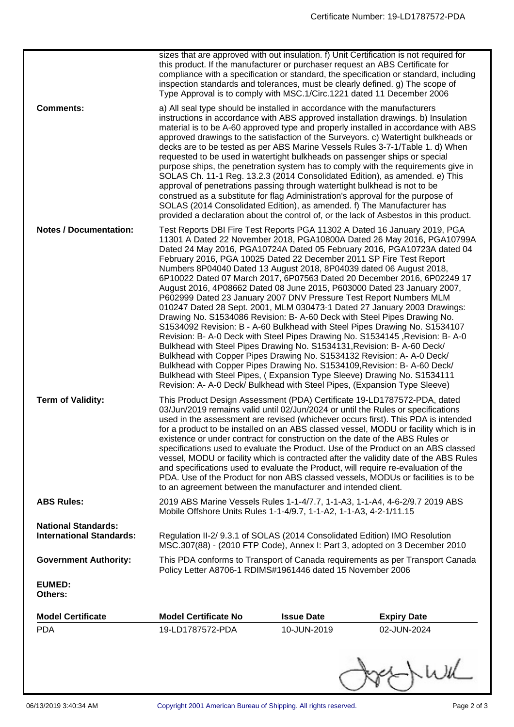|                                                               | sizes that are approved with out insulation. f) Unit Certification is not required for<br>this product. If the manufacturer or purchaser request an ABS Certificate for<br>inspection standards and tolerances, must be clearly defined. g) The scope of<br>Type Approval is to comply with MSC.1/Circ.1221 dated 11 December 2006                                                                                                                                                                                                                                                                                                                                                                                                                                                                                                                                                                                                                                                                                                                                                                                                                                                                                                                                                                                      |                   | compliance with a specification or standard, the specification or standard, including                                                                                                                                                                         |  |
|---------------------------------------------------------------|-------------------------------------------------------------------------------------------------------------------------------------------------------------------------------------------------------------------------------------------------------------------------------------------------------------------------------------------------------------------------------------------------------------------------------------------------------------------------------------------------------------------------------------------------------------------------------------------------------------------------------------------------------------------------------------------------------------------------------------------------------------------------------------------------------------------------------------------------------------------------------------------------------------------------------------------------------------------------------------------------------------------------------------------------------------------------------------------------------------------------------------------------------------------------------------------------------------------------------------------------------------------------------------------------------------------------|-------------------|---------------------------------------------------------------------------------------------------------------------------------------------------------------------------------------------------------------------------------------------------------------|--|
| <b>Comments:</b>                                              | a) All seal type should be installed in accordance with the manufacturers<br>instructions in accordance with ABS approved installation drawings. b) Insulation<br>decks are to be tested as per ABS Marine Vessels Rules 3-7-1/Table 1. d) When<br>requested to be used in watertight bulkheads on passenger ships or special<br>SOLAS Ch. 11-1 Reg. 13.2.3 (2014 Consolidated Edition), as amended. e) This<br>approval of penetrations passing through watertight bulkhead is not to be<br>construed as a substitute for flag Administration's approval for the purpose of<br>SOLAS (2014 Consolidated Edition), as amended. f) The Manufacturer has<br>provided a declaration about the control of, or the lack of Asbestos in this product.                                                                                                                                                                                                                                                                                                                                                                                                                                                                                                                                                                         |                   | material is to be A-60 approved type and properly installed in accordance with ABS<br>approved drawings to the satisfaction of the Surveyors. c) Watertight bulkheads or<br>purpose ships, the penetration system has to comply with the requirements give in |  |
| <b>Notes / Documentation:</b>                                 | Test Reports DBI Fire Test Reports PGA 11302 A Dated 16 January 2019, PGA<br>11301 A Dated 22 November 2018, PGA10800A Dated 26 May 2016, PGA10799A<br>Dated 24 May 2016, PGA10724A Dated 05 February 2016, PGA10723A dated 04<br>February 2016, PGA 10025 Dated 22 December 2011 SP Fire Test Report<br>Numbers 8P04040 Dated 13 August 2018, 8P04039 dated 06 August 2018,<br>6P10022 Dated 07 March 2017, 6P07563 Dated 20 December 2016, 6P02249 17<br>August 2016, 4P08662 Dated 08 June 2015, P603000 Dated 23 January 2007,<br>P602999 Dated 23 January 2007 DNV Pressure Test Report Numbers MLM<br>010247 Dated 28 Sept. 2001, MLM 030473-1 Dated 27 January 2003 Drawings:<br>Drawing No. S1534086 Revision: B- A-60 Deck with Steel Pipes Drawing No.<br>S1534092 Revision: B - A-60 Bulkhead with Steel Pipes Drawing No. S1534107<br>Revision: B- A-0 Deck with Steel Pipes Drawing No. S1534145, Revision: B- A-0<br>Bulkhead with Steel Pipes Drawing No. S1534131, Revision: B- A-60 Deck/<br>Bulkhead with Copper Pipes Drawing No. S1534132 Revision: A-A-0 Deck/<br>Bulkhead with Copper Pipes Drawing No. S1534109, Revision: B- A-60 Deck/<br>Bulkhead with Steel Pipes, (Expansion Type Sleeve) Drawing No. S1534111<br>Revision: A- A-0 Deck/ Bulkhead with Steel Pipes, (Expansion Type Sleeve) |                   |                                                                                                                                                                                                                                                               |  |
| <b>Term of Validity:</b>                                      | This Product Design Assessment (PDA) Certificate 19-LD1787572-PDA, dated<br>03/Jun/2019 remains valid until 02/Jun/2024 or until the Rules or specifications<br>used in the assessment are revised (whichever occurs first). This PDA is intended<br>for a product to be installed on an ABS classed vessel, MODU or facility which is in<br>existence or under contract for construction on the date of the ABS Rules or<br>specifications used to evaluate the Product. Use of the Product on an ABS classed<br>vessel, MODU or facility which is contracted after the validity date of the ABS Rules<br>and specifications used to evaluate the Product, will require re-evaluation of the<br>PDA. Use of the Product for non ABS classed vessels, MODUs or facilities is to be<br>to an agreement between the manufacturer and intended client.                                                                                                                                                                                                                                                                                                                                                                                                                                                                     |                   |                                                                                                                                                                                                                                                               |  |
| <b>ABS Rules:</b>                                             | 2019 ABS Marine Vessels Rules 1-1-4/7.7, 1-1-A3, 1-1-A4, 4-6-2/9.7 2019 ABS<br>Mobile Offshore Units Rules 1-1-4/9.7, 1-1-A2, 1-1-A3, 4-2-1/11.15                                                                                                                                                                                                                                                                                                                                                                                                                                                                                                                                                                                                                                                                                                                                                                                                                                                                                                                                                                                                                                                                                                                                                                       |                   |                                                                                                                                                                                                                                                               |  |
| <b>National Standards:</b><br><b>International Standards:</b> | Regulation II-2/ 9.3.1 of SOLAS (2014 Consolidated Edition) IMO Resolution<br>MSC.307(88) - (2010 FTP Code), Annex I: Part 3, adopted on 3 December 2010                                                                                                                                                                                                                                                                                                                                                                                                                                                                                                                                                                                                                                                                                                                                                                                                                                                                                                                                                                                                                                                                                                                                                                |                   |                                                                                                                                                                                                                                                               |  |
| <b>Government Authority:</b>                                  | Policy Letter A8706-1 RDIMS#1961446 dated 15 November 2006                                                                                                                                                                                                                                                                                                                                                                                                                                                                                                                                                                                                                                                                                                                                                                                                                                                                                                                                                                                                                                                                                                                                                                                                                                                              |                   | This PDA conforms to Transport of Canada requirements as per Transport Canada                                                                                                                                                                                 |  |
| <b>EUMED:</b><br>Others:                                      |                                                                                                                                                                                                                                                                                                                                                                                                                                                                                                                                                                                                                                                                                                                                                                                                                                                                                                                                                                                                                                                                                                                                                                                                                                                                                                                         |                   |                                                                                                                                                                                                                                                               |  |
| <b>Model Certificate</b>                                      | <b>Model Certificate No</b>                                                                                                                                                                                                                                                                                                                                                                                                                                                                                                                                                                                                                                                                                                                                                                                                                                                                                                                                                                                                                                                                                                                                                                                                                                                                                             | <b>Issue Date</b> | <b>Expiry Date</b>                                                                                                                                                                                                                                            |  |
| <b>PDA</b>                                                    | 19-LD1787572-PDA                                                                                                                                                                                                                                                                                                                                                                                                                                                                                                                                                                                                                                                                                                                                                                                                                                                                                                                                                                                                                                                                                                                                                                                                                                                                                                        | 10-JUN-2019       | 02-JUN-2024                                                                                                                                                                                                                                                   |  |
|                                                               |                                                                                                                                                                                                                                                                                                                                                                                                                                                                                                                                                                                                                                                                                                                                                                                                                                                                                                                                                                                                                                                                                                                                                                                                                                                                                                                         |                   | $\rightarrow \omega$                                                                                                                                                                                                                                          |  |